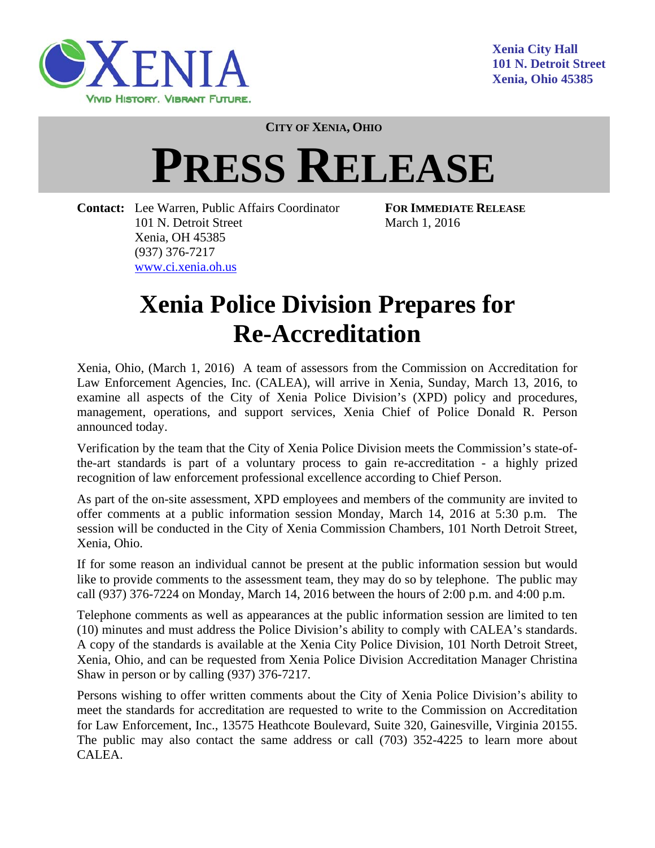

**CITY OF XENIA, OHIO**

## **PRESS RELEASE**

**Contact:** Lee Warren, Public Affairs Coordinator **FOR IMMEDIATE RELEASE**  101 N. Detroit Street March 1, 2016 Xenia, OH 45385 (937) 376-7217 www.ci.xenia.oh.us

## **Xenia Police Division Prepares for Re-Accreditation**

Xenia, Ohio, (March 1, 2016) A team of assessors from the Commission on Accreditation for Law Enforcement Agencies, Inc. (CALEA), will arrive in Xenia, Sunday, March 13, 2016, to examine all aspects of the City of Xenia Police Division's (XPD) policy and procedures, management, operations, and support services, Xenia Chief of Police Donald R. Person announced today.

Verification by the team that the City of Xenia Police Division meets the Commission's state-ofthe-art standards is part of a voluntary process to gain re-accreditation - a highly prized recognition of law enforcement professional excellence according to Chief Person.

As part of the on-site assessment, XPD employees and members of the community are invited to offer comments at a public information session Monday, March 14, 2016 at 5:30 p.m. The session will be conducted in the City of Xenia Commission Chambers, 101 North Detroit Street, Xenia, Ohio.

If for some reason an individual cannot be present at the public information session but would like to provide comments to the assessment team, they may do so by telephone. The public may call (937) 376-7224 on Monday, March 14, 2016 between the hours of 2:00 p.m. and 4:00 p.m.

Telephone comments as well as appearances at the public information session are limited to ten (10) minutes and must address the Police Division's ability to comply with CALEA's standards. A copy of the standards is available at the Xenia City Police Division, 101 North Detroit Street, Xenia, Ohio, and can be requested from Xenia Police Division Accreditation Manager Christina Shaw in person or by calling (937) 376-7217.

Persons wishing to offer written comments about the City of Xenia Police Division's ability to meet the standards for accreditation are requested to write to the Commission on Accreditation for Law Enforcement, Inc., 13575 Heathcote Boulevard, Suite 320, Gainesville, Virginia 20155. The public may also contact the same address or call (703) 352-4225 to learn more about CALEA.